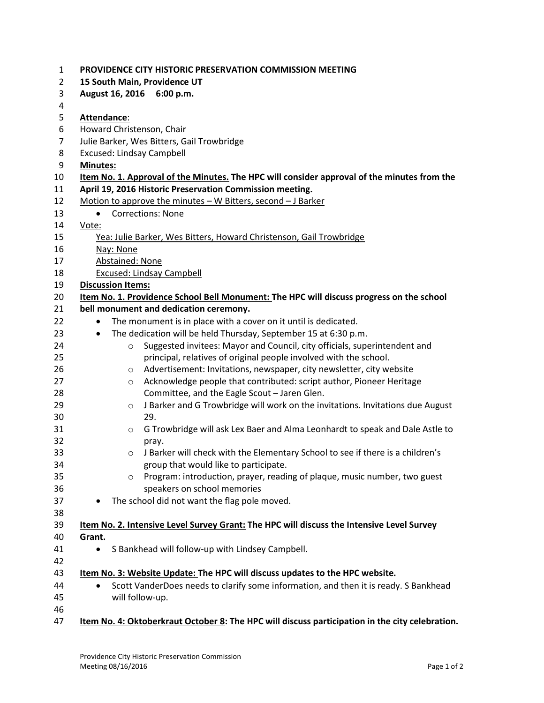| $\mathbf{1}$   |                 | PROVIDENCE CITY HISTORIC PRESERVATION COMMISSION MEETING                                        |
|----------------|-----------------|-------------------------------------------------------------------------------------------------|
| $\overline{2}$ |                 | 15 South Main, Providence UT                                                                    |
| 3              |                 | August 16, 2016 6:00 p.m.                                                                       |
| 4              |                 |                                                                                                 |
| 5              | Attendance:     |                                                                                                 |
| 6              |                 | Howard Christenson, Chair                                                                       |
| $\overline{7}$ |                 | Julie Barker, Wes Bitters, Gail Trowbridge                                                      |
| 8              |                 | Excused: Lindsay Campbell                                                                       |
| 9              | <b>Minutes:</b> |                                                                                                 |
| 10             |                 | Item No. 1. Approval of the Minutes. The HPC will consider approval of the minutes from the     |
| 11             |                 | April 19, 2016 Historic Preservation Commission meeting.                                        |
| 12             |                 | Motion to approve the minutes - W Bitters, second - J Barker                                    |
| 13             | $\bullet$       | <b>Corrections: None</b>                                                                        |
| 14             | Vote:           |                                                                                                 |
| 15             |                 | Yea: Julie Barker, Wes Bitters, Howard Christenson, Gail Trowbridge                             |
| 16             |                 | Nay: None                                                                                       |
| 17             |                 | Abstained: None                                                                                 |
| 18             |                 | <b>Excused: Lindsay Campbell</b>                                                                |
| 19             |                 | <b>Discussion Items:</b>                                                                        |
| 20             |                 | Item No. 1. Providence School Bell Monument: The HPC will discuss progress on the school        |
| 21             |                 | bell monument and dedication ceremony.                                                          |
| 22             | $\bullet$       | The monument is in place with a cover on it until is dedicated.                                 |
| 23             | $\bullet$       | The dedication will be held Thursday, September 15 at 6:30 p.m.                                 |
| 24             |                 | Suggested invitees: Mayor and Council, city officials, superintendent and<br>$\circ$            |
| 25             |                 | principal, relatives of original people involved with the school.                               |
| 26             |                 | Advertisement: Invitations, newspaper, city newsletter, city website<br>O                       |
| 27             |                 | Acknowledge people that contributed: script author, Pioneer Heritage<br>$\circ$                 |
| 28             |                 | Committee, and the Eagle Scout - Jaren Glen.                                                    |
| 29             |                 | J Barker and G Trowbridge will work on the invitations. Invitations due August<br>$\circ$       |
| 30             |                 | 29.                                                                                             |
| 31             |                 | G Trowbridge will ask Lex Baer and Alma Leonhardt to speak and Dale Astle to<br>$\circ$         |
| 32             |                 | pray.                                                                                           |
| 33             |                 | J Barker will check with the Elementary School to see if there is a children's<br>O             |
| 34             |                 | group that would like to participate.                                                           |
| 35             |                 | Program: introduction, prayer, reading of plaque, music number, two guest<br>$\circ$            |
| 36             |                 | speakers on school memories                                                                     |
| 37             |                 | The school did not want the flag pole moved.                                                    |
| 38             |                 |                                                                                                 |
| 39             |                 | Item No. 2. Intensive Level Survey Grant: The HPC will discuss the Intensive Level Survey       |
| 40             | Grant.          |                                                                                                 |
| 41             | $\bullet$       | S Bankhead will follow-up with Lindsey Campbell.                                                |
| 42             |                 |                                                                                                 |
| 43             |                 | Item No. 3: Website Update: The HPC will discuss updates to the HPC website.                    |
| 44             | $\bullet$       | Scott VanderDoes needs to clarify some information, and then it is ready. S Bankhead            |
| 45             |                 | will follow-up.                                                                                 |
| 46             |                 |                                                                                                 |
| 47             |                 | Item No. 4: Oktoberkraut October 8: The HPC will discuss participation in the city celebration. |